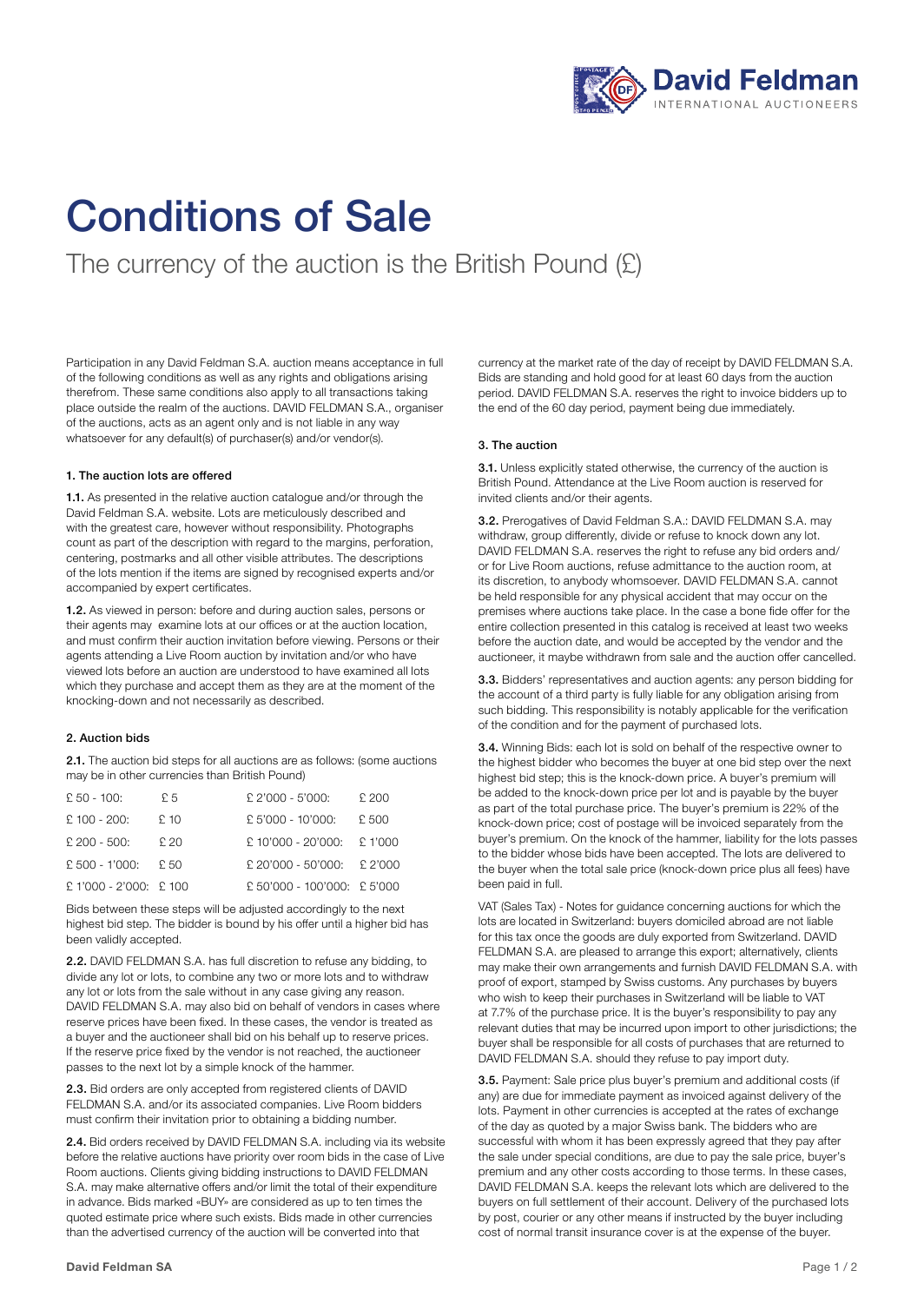

# Conditions of Sale

The currency of the auction is the British Pound (£)

Participation in any David Feldman S.A. auction means acceptance in full of the following conditions as well as any rights and obligations arising therefrom. These same conditions also apply to all transactions taking place outside the realm of the auctions. DAVID FELDMAN S.A., organiser of the auctions, acts as an agent only and is not liable in any way whatsoever for any default(s) of purchaser(s) and/or vendor(s).

#### 1. The auction lots are offered

1.1. As presented in the relative auction catalogue and/or through the David Feldman S.A. website. Lots are meticulously described and with the greatest care, however without responsibility. Photographs count as part of the description with regard to the margins, perforation, centering, postmarks and all other visible attributes. The descriptions of the lots mention if the items are signed by recognised experts and/or accompanied by expert certificates.

1.2. As viewed in person: before and during auction sales, persons or their agents may examine lots at our offices or at the auction location, and must confirm their auction invitation before viewing. Persons or their agents attending a Live Room auction by invitation and/or who have viewed lots before an auction are understood to have examined all lots which they purchase and accept them as they are at the moment of the knocking-down and not necessarily as described.

## 2. Auction bids

2.1. The auction bid steps for all auctions are as follows: (some auctions may be in other currencies than British Pound)

| $£ 50 - 100:$          | £ 5  | $£$ 2'000 - 5'000:          | £ 200 |
|------------------------|------|-----------------------------|-------|
| $£100 - 200:$          | £10  | £ 5'000 - 10'000:           | £ 500 |
| $£$ 200 - 500:         | £ 20 | £ 10'000 - 20'000: £ 1'000  |       |
| $£ 500 - 1'000:$       | £ 50 | £ 20'000 - 50'000: £ 2'000  |       |
| £ 1'000 - 2'000: £ 100 |      | £ 50'000 - 100'000: £ 5'000 |       |

Bids between these steps will be adjusted accordingly to the next highest bid step. The bidder is bound by his offer until a higher bid has been validly accepted.

2.2. DAVID FELDMAN S.A. has full discretion to refuse any bidding, to divide any lot or lots, to combine any two or more lots and to withdraw any lot or lots from the sale without in any case giving any reason. DAVID FELDMAN S.A. may also bid on behalf of vendors in cases where reserve prices have been fixed. In these cases, the vendor is treated as a buyer and the auctioneer shall bid on his behalf up to reserve prices. If the reserve price fixed by the vendor is not reached, the auctioneer passes to the next lot by a simple knock of the hammer.

2.3. Bid orders are only accepted from registered clients of DAVID FELDMAN S.A. and/or its associated companies. Live Room bidders must confirm their invitation prior to obtaining a bidding number.

2.4. Bid orders received by DAVID FELDMAN S.A. including via its website before the relative auctions have priority over room bids in the case of Live Room auctions. Clients giving bidding instructions to DAVID FELDMAN S.A. may make alternative offers and/or limit the total of their expenditure in advance. Bids marked «BUY» are considered as up to ten times the quoted estimate price where such exists. Bids made in other currencies than the advertised currency of the auction will be converted into that

currency at the market rate of the day of receipt by DAVID FELDMAN S.A. Bids are standing and hold good for at least 60 days from the auction period. DAVID FELDMAN S.A. reserves the right to invoice bidders up to the end of the 60 day period, payment being due immediately.

#### 3. The auction

3.1. Unless explicitly stated otherwise, the currency of the auction is British Pound. Attendance at the Live Room auction is reserved for invited clients and/or their agents.

3.2. Prerogatives of David Feldman S.A.: DAVID FELDMAN S.A. may withdraw, group differently, divide or refuse to knock down any lot. DAVID FELDMAN S.A. reserves the right to refuse any bid orders and/ or for Live Room auctions, refuse admittance to the auction room, at its discretion, to anybody whomsoever. DAVID FELDMAN S.A. cannot be held responsible for any physical accident that may occur on the premises where auctions take place. In the case a bone fide offer for the entire collection presented in this catalog is received at least two weeks before the auction date, and would be accepted by the vendor and the auctioneer, it maybe withdrawn from sale and the auction offer cancelled.

3.3. Bidders' representatives and auction agents: any person bidding for the account of a third party is fully liable for any obligation arising from such bidding. This responsibility is notably applicable for the verification of the condition and for the payment of purchased lots.

3.4. Winning Bids: each lot is sold on behalf of the respective owner to the highest bidder who becomes the buyer at one bid step over the next highest bid step; this is the knock-down price. A buyer's premium will be added to the knock-down price per lot and is payable by the buyer as part of the total purchase price. The buyer's premium is 22% of the knock-down price; cost of postage will be invoiced separately from the buyer's premium. On the knock of the hammer, liability for the lots passes to the bidder whose bids have been accepted. The lots are delivered to the buyer when the total sale price (knock-down price plus all fees) have been paid in full.

VAT (Sales Tax) - Notes for guidance concerning auctions for which the lots are located in Switzerland: buyers domiciled abroad are not liable for this tax once the goods are duly exported from Switzerland. DAVID FELDMAN S.A. are pleased to arrange this export; alternatively, clients may make their own arrangements and furnish DAVID FELDMAN S.A. with proof of export, stamped by Swiss customs. Any purchases by buyers who wish to keep their purchases in Switzerland will be liable to VAT at 7.7% of the purchase price. It is the buyer's responsibility to pay any relevant duties that may be incurred upon import to other jurisdictions; the buyer shall be responsible for all costs of purchases that are returned to DAVID FELDMAN S.A. should they refuse to pay import duty.

3.5. Payment: Sale price plus buyer's premium and additional costs (if any) are due for immediate payment as invoiced against delivery of the lots. Payment in other currencies is accepted at the rates of exchange of the day as quoted by a major Swiss bank. The bidders who are successful with whom it has been expressly agreed that they pay after the sale under special conditions, are due to pay the sale price, buyer's premium and any other costs according to those terms. In these cases, DAVID FELDMAN S.A. keeps the relevant lots which are delivered to the buyers on full settlement of their account. Delivery of the purchased lots by post, courier or any other means if instructed by the buyer including cost of normal transit insurance cover is at the expense of the buyer.